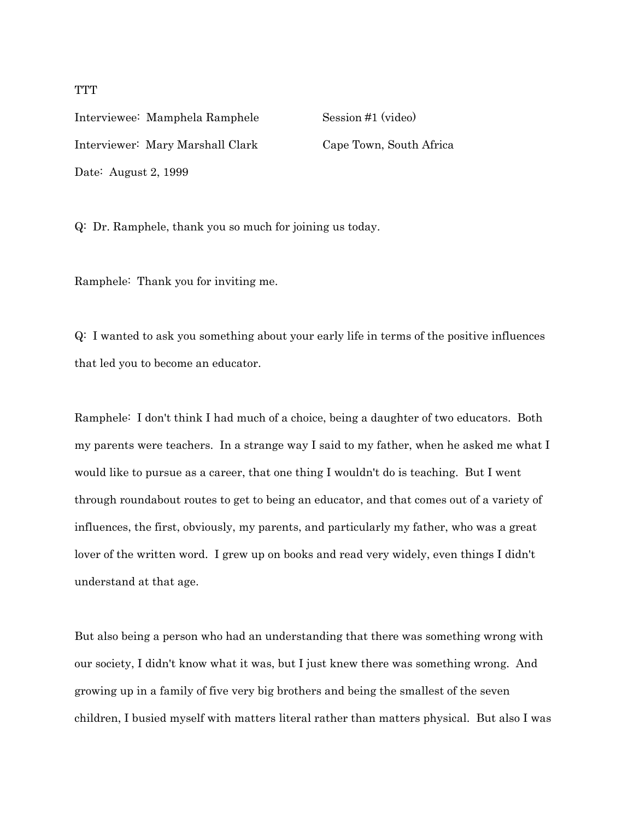Interviewee: Mamphela Ramphele Session #1 (video) Interviewer: Mary Marshall Clark Cape Town, South Africa Date: August 2, 1999

Q: Dr. Ramphele, thank you so much for joining us today.

Ramphele: Thank you for inviting me.

Q: I wanted to ask you something about your early life in terms of the positive influences that led you to become an educator.

Ramphele: I don't think I had much of a choice, being a daughter of two educators. Both my parents were teachers. In a strange way I said to my father, when he asked me what I would like to pursue as a career, that one thing I wouldn't do is teaching. But I went through roundabout routes to get to being an educator, and that comes out of a variety of influences, the first, obviously, my parents, and particularly my father, who was a great lover of the written word. I grew up on books and read very widely, even things I didn't understand at that age.

But also being a person who had an understanding that there was something wrong with our society, I didn't know what it was, but I just knew there was something wrong. And growing up in a family of five very big brothers and being the smallest of the seven children, I busied myself with matters literal rather than matters physical. But also I was

## **TTT**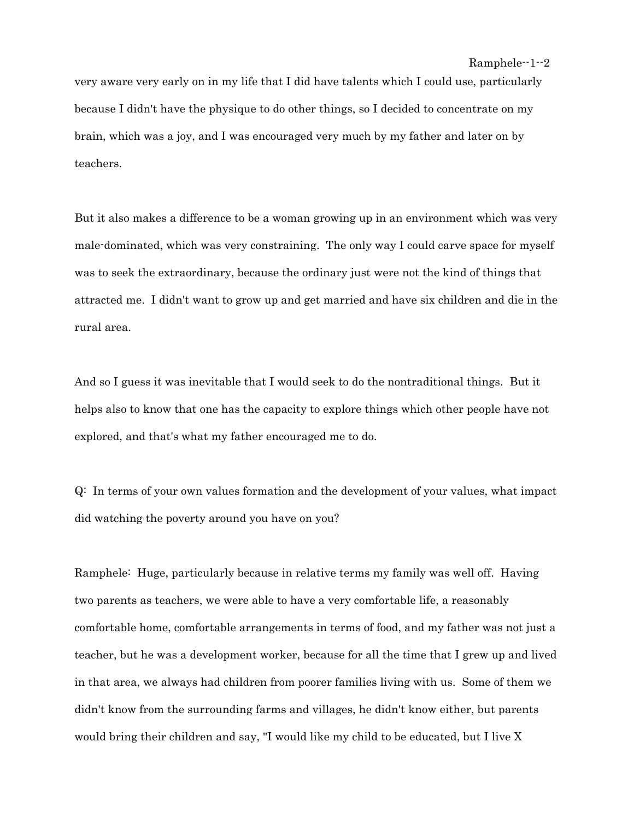very aware very early on in my life that I did have talents which I could use, particularly because I didn't have the physique to do other things, so I decided to concentrate on my brain, which was a joy, and I was encouraged very much by my father and later on by teachers.

But it also makes a difference to be a woman growing up in an environment which was very male-dominated, which was very constraining. The only way I could carve space for myself was to seek the extraordinary, because the ordinary just were not the kind of things that attracted me. I didn't want to grow up and get married and have six children and die in the rural area.

And so I guess it was inevitable that I would seek to do the nontraditional things. But it helps also to know that one has the capacity to explore things which other people have not explored, and that's what my father encouraged me to do.

Q: In terms of your own values formation and the development of your values, what impact did watching the poverty around you have on you?

Ramphele: Huge, particularly because in relative terms my family was well off. Having two parents as teachers, we were able to have a very comfortable life, a reasonably comfortable home, comfortable arrangements in terms of food, and my father was not just a teacher, but he was a development worker, because for all the time that I grew up and lived in that area, we always had children from poorer families living with us. Some of them we didn't know from the surrounding farms and villages, he didn't know either, but parents would bring their children and say, "I would like my child to be educated, but I live X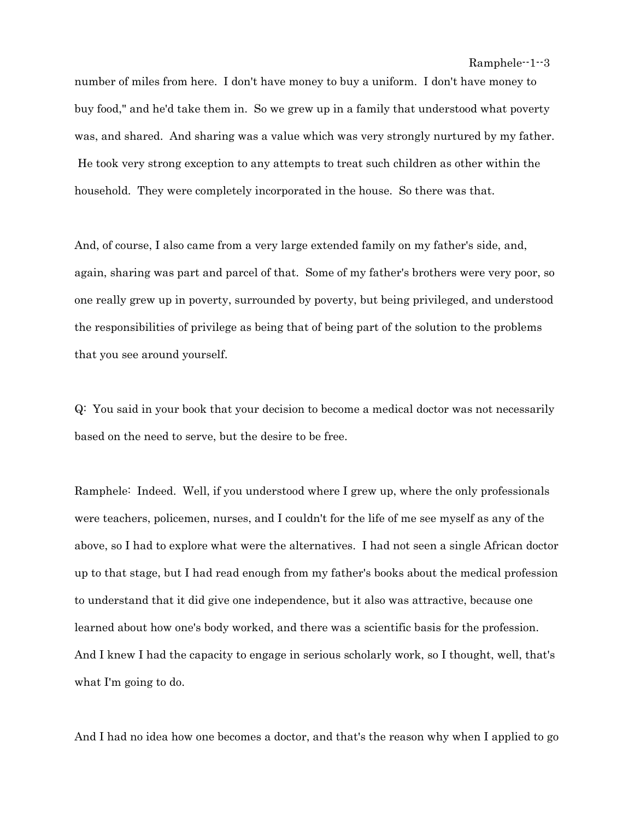number of miles from here. I don't have money to buy a uniform. I don't have money to buy food," and he'd take them in. So we grew up in a family that understood what poverty was, and shared. And sharing was a value which was very strongly nurtured by my father. He took very strong exception to any attempts to treat such children as other within the household. They were completely incorporated in the house. So there was that.

And, of course, I also came from a very large extended family on my father's side, and, again, sharing was part and parcel of that. Some of my father's brothers were very poor, so one really grew up in poverty, surrounded by poverty, but being privileged, and understood the responsibilities of privilege as being that of being part of the solution to the problems that you see around yourself.

Q: You said in your book that your decision to become a medical doctor was not necessarily based on the need to serve, but the desire to be free.

Ramphele: Indeed. Well, if you understood where I grew up, where the only professionals were teachers, policemen, nurses, and I couldn't for the life of me see myself as any of the above, so I had to explore what were the alternatives. I had not seen a single African doctor up to that stage, but I had read enough from my father's books about the medical profession to understand that it did give one independence, but it also was attractive, because one learned about how one's body worked, and there was a scientific basis for the profession. And I knew I had the capacity to engage in serious scholarly work, so I thought, well, that's what I'm going to do.

And I had no idea how one becomes a doctor, and that's the reason why when I applied to go

Ramphele--1--3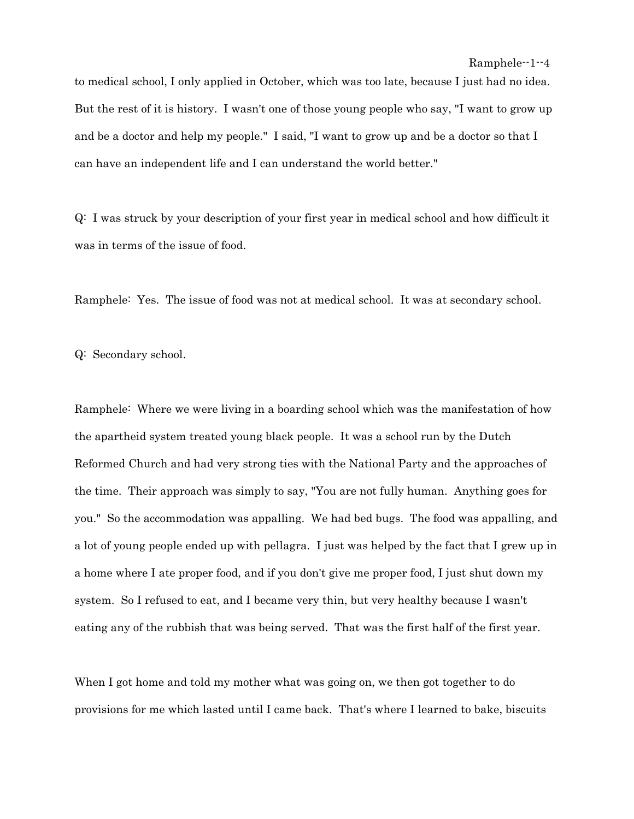to medical school, I only applied in October, which was too late, because I just had no idea. But the rest of it is history. I wasn't one of those young people who say, "I want to grow up and be a doctor and help my people." I said, "I want to grow up and be a doctor so that I can have an independent life and I can understand the world better."

Q: I was struck by your description of your first year in medical school and how difficult it was in terms of the issue of food.

Ramphele: Yes. The issue of food was not at medical school. It was at secondary school.

Q: Secondary school.

Ramphele: Where we were living in a boarding school which was the manifestation of how the apartheid system treated young black people. It was a school run by the Dutch Reformed Church and had very strong ties with the National Party and the approaches of the time. Their approach was simply to say, "You are not fully human. Anything goes for you." So the accommodation was appalling. We had bed bugs. The food was appalling, and a lot of young people ended up with pellagra. I just was helped by the fact that I grew up in a home where I ate proper food, and if you don't give me proper food, I just shut down my system. So I refused to eat, and I became very thin, but very healthy because I wasn't eating any of the rubbish that was being served. That was the first half of the first year.

When I got home and told my mother what was going on, we then got together to do provisions for me which lasted until I came back. That's where I learned to bake, biscuits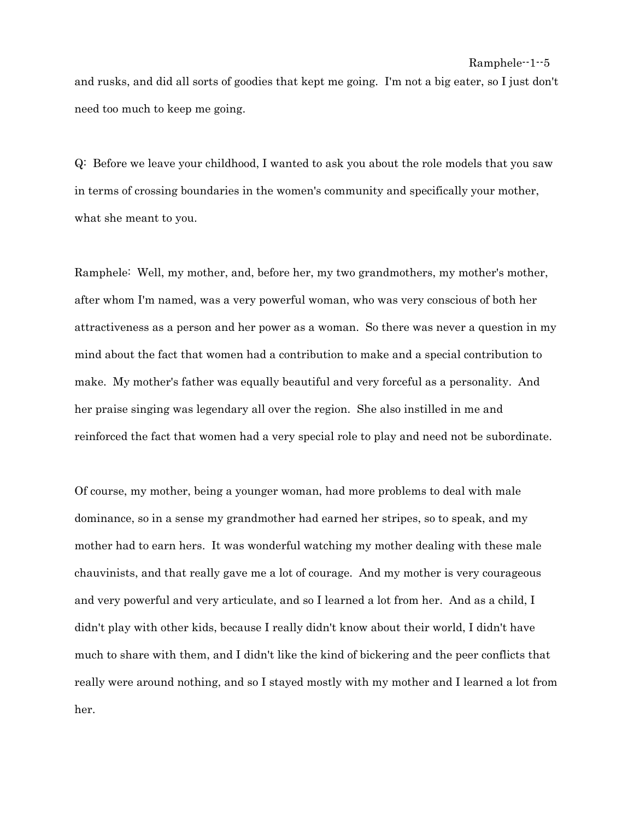and rusks, and did all sorts of goodies that kept me going. I'm not a big eater, so I just don't need too much to keep me going.

Q: Before we leave your childhood, I wanted to ask you about the role models that you saw in terms of crossing boundaries in the women's community and specifically your mother, what she meant to you.

Ramphele: Well, my mother, and, before her, my two grandmothers, my mother's mother, after whom I'm named, was a very powerful woman, who was very conscious of both her attractiveness as a person and her power as a woman. So there was never a question in my mind about the fact that women had a contribution to make and a special contribution to make. My mother's father was equally beautiful and very forceful as a personality. And her praise singing was legendary all over the region. She also instilled in me and reinforced the fact that women had a very special role to play and need not be subordinate.

Of course, my mother, being a younger woman, had more problems to deal with male dominance, so in a sense my grandmother had earned her stripes, so to speak, and my mother had to earn hers. It was wonderful watching my mother dealing with these male chauvinists, and that really gave me a lot of courage. And my mother is very courageous and very powerful and very articulate, and so I learned a lot from her. And as a child, I didn't play with other kids, because I really didn't know about their world, I didn't have much to share with them, and I didn't like the kind of bickering and the peer conflicts that really were around nothing, and so I stayed mostly with my mother and I learned a lot from her.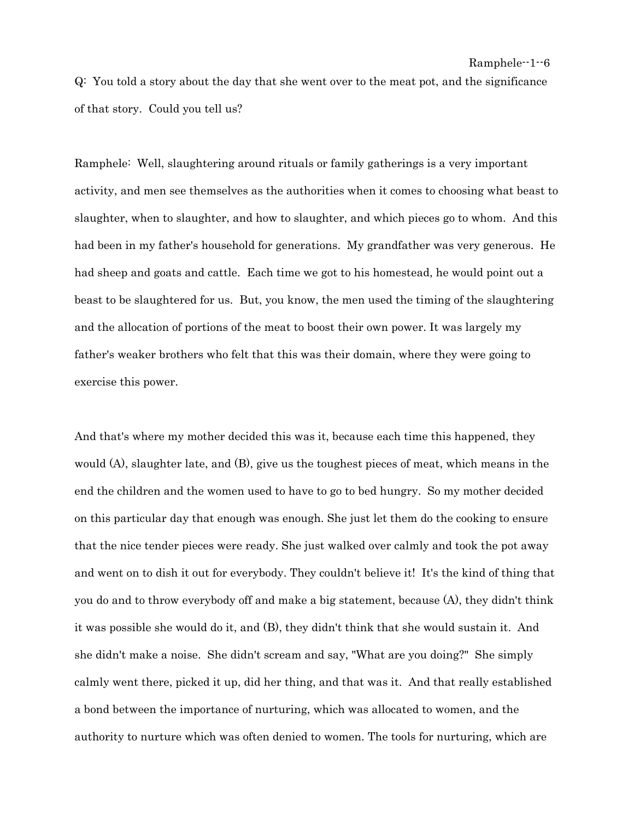Q: You told a story about the day that she went over to the meat pot, and the significance of that story. Could you tell us?

Ramphele: Well, slaughtering around rituals or family gatherings is a very important activity, and men see themselves as the authorities when it comes to choosing what beast to slaughter, when to slaughter, and how to slaughter, and which pieces go to whom. And this had been in my father's household for generations. My grandfather was very generous. He had sheep and goats and cattle. Each time we got to his homestead, he would point out a beast to be slaughtered for us. But, you know, the men used the timing of the slaughtering and the allocation of portions of the meat to boost their own power. It was largely my father's weaker brothers who felt that this was their domain, where they were going to exercise this power.

And that's where my mother decided this was it, because each time this happened, they would (A), slaughter late, and (B), give us the toughest pieces of meat, which means in the end the children and the women used to have to go to bed hungry. So my mother decided on this particular day that enough was enough. She just let them do the cooking to ensure that the nice tender pieces were ready. She just walked over calmly and took the pot away and went on to dish it out for everybody. They couldn't believe it! It's the kind of thing that you do and to throw everybody off and make a big statement, because (A), they didn't think it was possible she would do it, and (B), they didn't think that she would sustain it. And she didn't make a noise. She didn't scream and say, "What are you doing?" She simply calmly went there, picked it up, did her thing, and that was it. And that really established a bond between the importance of nurturing, which was allocated to women, and the authority to nurture which was often denied to women. The tools for nurturing, which are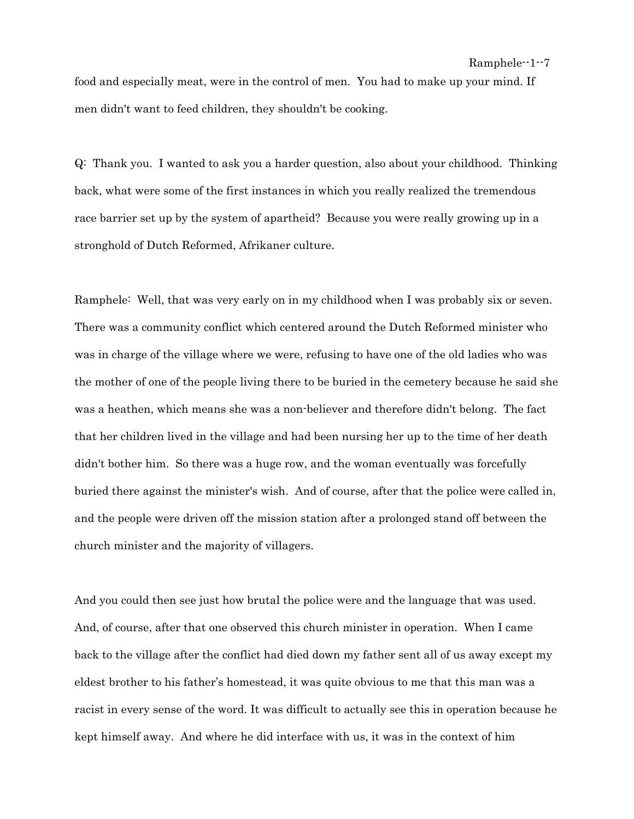food and especially meat, were in the control of men. You had to make up your mind. If men didn't want to feed children, they shouldn't be cooking.

Q: Thank you. I wanted to ask you a harder question, also about your childhood. Thinking back, what were some of the first instances in which you really realized the tremendous race barrier set up by the system of apartheid? Because you were really growing up in a stronghold of Dutch Reformed, Afrikaner culture.

Ramphele: Well, that was very early on in my childhood when I was probably six or seven. There was a community conflict which centered around the Dutch Reformed minister who was in charge of the village where we were, refusing to have one of the old ladies who was the mother of one of the people living there to be buried in the cemetery because he said she was a heathen, which means she was a non-believer and therefore didn't belong. The fact that her children lived in the village and had been nursing her up to the time of her death didn't bother him. So there was a huge row, and the woman eventually was forcefully buried there against the minister's wish. And of course, after that the police were called in, and the people were driven off the mission station after a prolonged stand off between the church minister and the majority of villagers.

And you could then see just how brutal the police were and the language that was used. And, of course, after that one observed this church minister in operation. When I came back to the village after the conflict had died down my father sent all of us away except my eldest brother to his father's homestead, it was quite obvious to me that this man was a racist in every sense of the word. It was difficult to actually see this in operation because he kept himself away. And where he did interface with us, it was in the context of him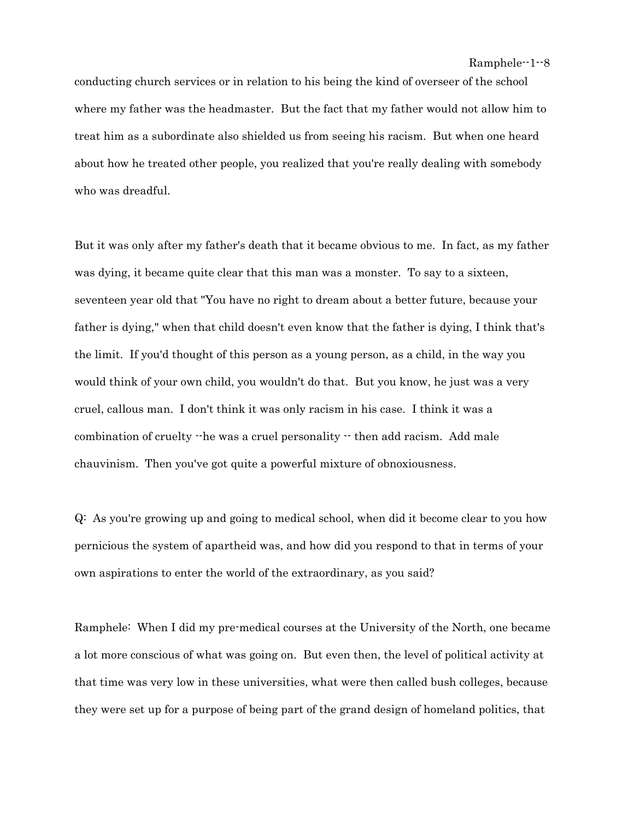conducting church services or in relation to his being the kind of overseer of the school where my father was the headmaster. But the fact that my father would not allow him to treat him as a subordinate also shielded us from seeing his racism. But when one heard about how he treated other people, you realized that you're really dealing with somebody who was dreadful.

But it was only after my father's death that it became obvious to me. In fact, as my father was dying, it became quite clear that this man was a monster. To say to a sixteen, seventeen year old that "You have no right to dream about a better future, because your father is dying," when that child doesn't even know that the father is dying, I think that's the limit. If you'd thought of this person as a young person, as a child, in the way you would think of your own child, you wouldn't do that. But you know, he just was a very cruel, callous man. I don't think it was only racism in his case. I think it was a combination of cruelty  $\cdot$ -he was a cruel personality  $\cdot$ -then add racism. Add male chauvinism. Then you've got quite a powerful mixture of obnoxiousness.

Q: As you're growing up and going to medical school, when did it become clear to you how pernicious the system of apartheid was, and how did you respond to that in terms of your own aspirations to enter the world of the extraordinary, as you said?

Ramphele: When I did my pre-medical courses at the University of the North, one became a lot more conscious of what was going on. But even then, the level of political activity at that time was very low in these universities, what were then called bush colleges, because they were set up for a purpose of being part of the grand design of homeland politics, that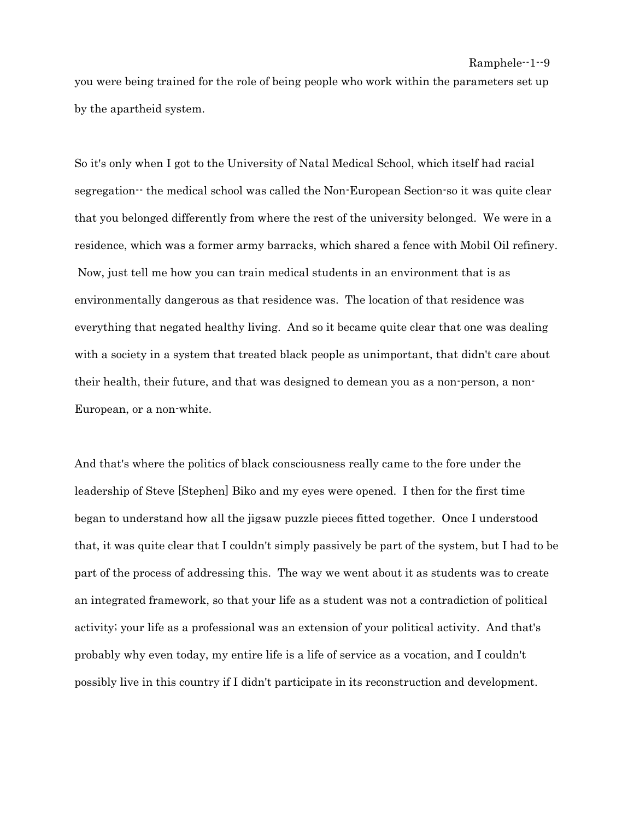you were being trained for the role of being people who work within the parameters set up by the apartheid system.

So it's only when I got to the University of Natal Medical School, which itself had racial segregation-- the medical school was called the Non-European Section-so it was quite clear that you belonged differently from where the rest of the university belonged. We were in a residence, which was a former army barracks, which shared a fence with Mobil Oil refinery. Now, just tell me how you can train medical students in an environment that is as environmentally dangerous as that residence was. The location of that residence was everything that negated healthy living. And so it became quite clear that one was dealing with a society in a system that treated black people as unimportant, that didn't care about their health, their future, and that was designed to demean you as a non-person, a non-European, or a non-white.

And that's where the politics of black consciousness really came to the fore under the leadership of Steve [Stephen] Biko and my eyes were opened. I then for the first time began to understand how all the jigsaw puzzle pieces fitted together. Once I understood that, it was quite clear that I couldn't simply passively be part of the system, but I had to be part of the process of addressing this. The way we went about it as students was to create an integrated framework, so that your life as a student was not a contradiction of political activity; your life as a professional was an extension of your political activity. And that's probably why even today, my entire life is a life of service as a vocation, and I couldn't possibly live in this country if I didn't participate in its reconstruction and development.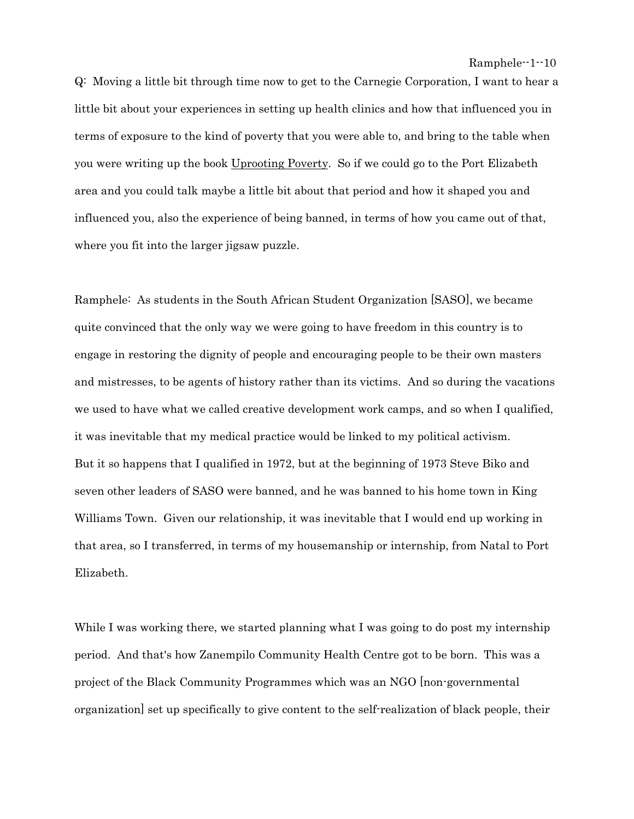Q: Moving a little bit through time now to get to the Carnegie Corporation, I want to hear a little bit about your experiences in setting up health clinics and how that influenced you in terms of exposure to the kind of poverty that you were able to, and bring to the table when you were writing up the book Uprooting Poverty. So if we could go to the Port Elizabeth area and you could talk maybe a little bit about that period and how it shaped you and influenced you, also the experience of being banned, in terms of how you came out of that, where you fit into the larger jigsaw puzzle.

Ramphele: As students in the South African Student Organization [SASO], we became quite convinced that the only way we were going to have freedom in this country is to engage in restoring the dignity of people and encouraging people to be their own masters and mistresses, to be agents of history rather than its victims. And so during the vacations we used to have what we called creative development work camps, and so when I qualified, it was inevitable that my medical practice would be linked to my political activism. But it so happens that I qualified in 1972, but at the beginning of 1973 Steve Biko and seven other leaders of SASO were banned, and he was banned to his home town in King Williams Town. Given our relationship, it was inevitable that I would end up working in that area, so I transferred, in terms of my housemanship or internship, from Natal to Port Elizabeth.

While I was working there, we started planning what I was going to do post my internship period. And that's how Zanempilo Community Health Centre got to be born. This was a project of the Black Community Programmes which was an NGO [non-governmental organization] set up specifically to give content to the self-realization of black people, their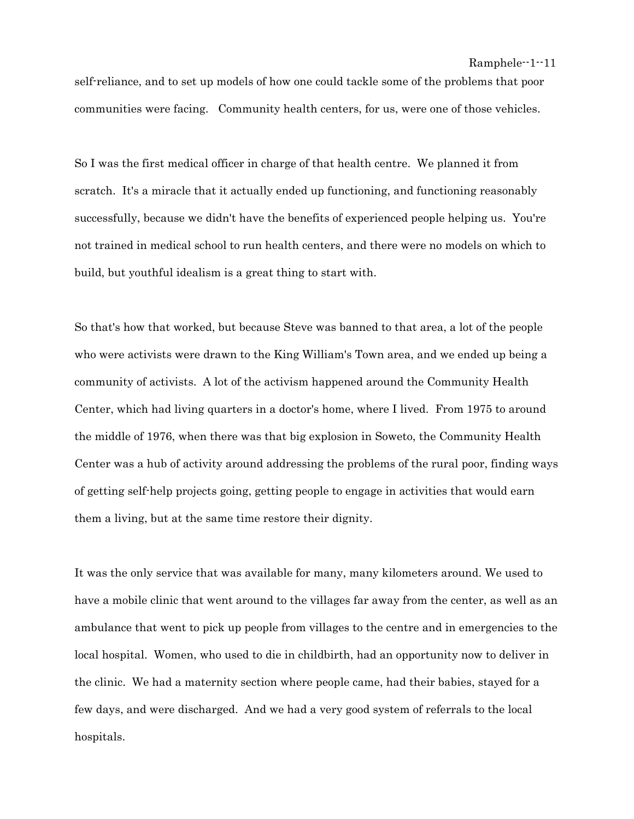self-reliance, and to set up models of how one could tackle some of the problems that poor communities were facing. Community health centers, for us, were one of those vehicles.

So I was the first medical officer in charge of that health centre. We planned it from scratch. It's a miracle that it actually ended up functioning, and functioning reasonably successfully, because we didn't have the benefits of experienced people helping us. You're not trained in medical school to run health centers, and there were no models on which to build, but youthful idealism is a great thing to start with.

So that's how that worked, but because Steve was banned to that area, a lot of the people who were activists were drawn to the King William's Town area, and we ended up being a community of activists. A lot of the activism happened around the Community Health Center, which had living quarters in a doctor's home, where I lived. From 1975 to around the middle of 1976, when there was that big explosion in Soweto, the Community Health Center was a hub of activity around addressing the problems of the rural poor, finding ways of getting self-help projects going, getting people to engage in activities that would earn them a living, but at the same time restore their dignity.

It was the only service that was available for many, many kilometers around. We used to have a mobile clinic that went around to the villages far away from the center, as well as an ambulance that went to pick up people from villages to the centre and in emergencies to the local hospital. Women, who used to die in childbirth, had an opportunity now to deliver in the clinic. We had a maternity section where people came, had their babies, stayed for a few days, and were discharged. And we had a very good system of referrals to the local hospitals.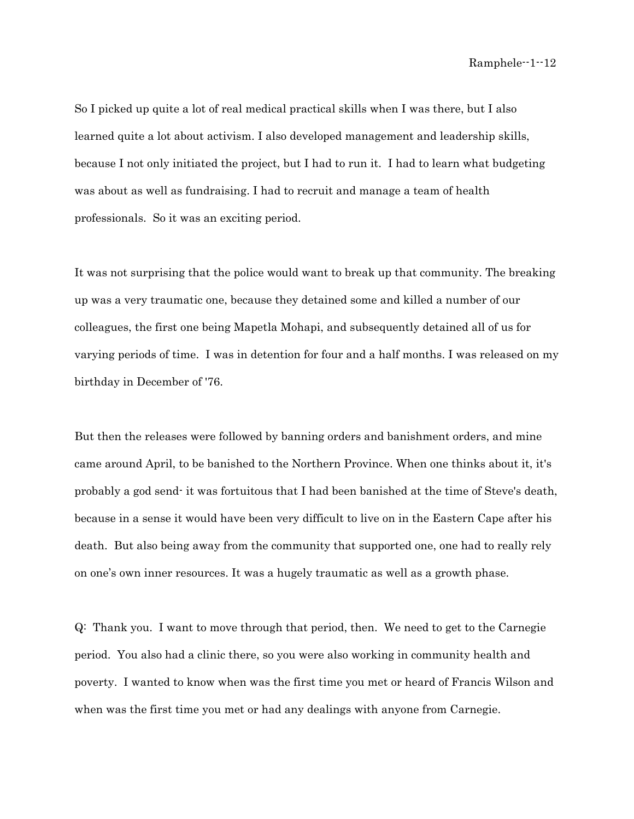So I picked up quite a lot of real medical practical skills when I was there, but I also learned quite a lot about activism. I also developed management and leadership skills, because I not only initiated the project, but I had to run it. I had to learn what budgeting was about as well as fundraising. I had to recruit and manage a team of health professionals. So it was an exciting period.

It was not surprising that the police would want to break up that community. The breaking up was a very traumatic one, because they detained some and killed a number of our colleagues, the first one being Mapetla Mohapi, and subsequently detained all of us for varying periods of time. I was in detention for four and a half months. I was released on my birthday in December of '76.

But then the releases were followed by banning orders and banishment orders, and mine came around April, to be banished to the Northern Province. When one thinks about it, it's probably a god send- it was fortuitous that I had been banished at the time of Steve's death, because in a sense it would have been very difficult to live on in the Eastern Cape after his death. But also being away from the community that supported one, one had to really rely on one's own inner resources. It was a hugely traumatic as well as a growth phase.

Q: Thank you. I want to move through that period, then. We need to get to the Carnegie period. You also had a clinic there, so you were also working in community health and poverty. I wanted to know when was the first time you met or heard of Francis Wilson and when was the first time you met or had any dealings with anyone from Carnegie.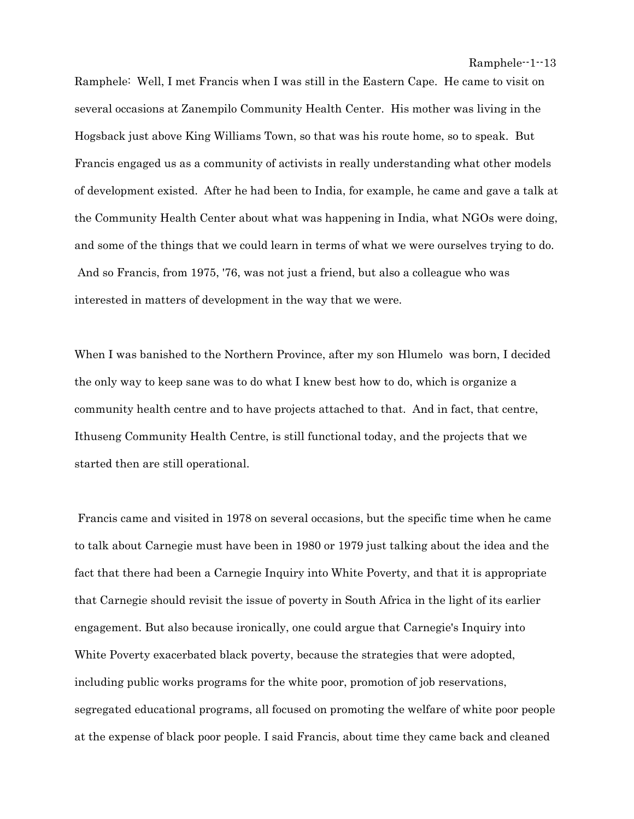Ramphele: Well, I met Francis when I was still in the Eastern Cape. He came to visit on several occasions at Zanempilo Community Health Center. His mother was living in the Hogsback just above King Williams Town, so that was his route home, so to speak. But Francis engaged us as a community of activists in really understanding what other models of development existed. After he had been to India, for example, he came and gave a talk at the Community Health Center about what was happening in India, what NGOs were doing, and some of the things that we could learn in terms of what we were ourselves trying to do. And so Francis, from 1975, '76, was not just a friend, but also a colleague who was interested in matters of development in the way that we were.

When I was banished to the Northern Province, after my son Hlumelo was born, I decided the only way to keep sane was to do what I knew best how to do, which is organize a community health centre and to have projects attached to that. And in fact, that centre, Ithuseng Community Health Centre, is still functional today, and the projects that we started then are still operational.

 Francis came and visited in 1978 on several occasions, but the specific time when he came to talk about Carnegie must have been in 1980 or 1979 just talking about the idea and the fact that there had been a Carnegie Inquiry into White Poverty, and that it is appropriate that Carnegie should revisit the issue of poverty in South Africa in the light of its earlier engagement. But also because ironically, one could argue that Carnegie's Inquiry into White Poverty exacerbated black poverty, because the strategies that were adopted, including public works programs for the white poor, promotion of job reservations, segregated educational programs, all focused on promoting the welfare of white poor people at the expense of black poor people. I said Francis, about time they came back and cleaned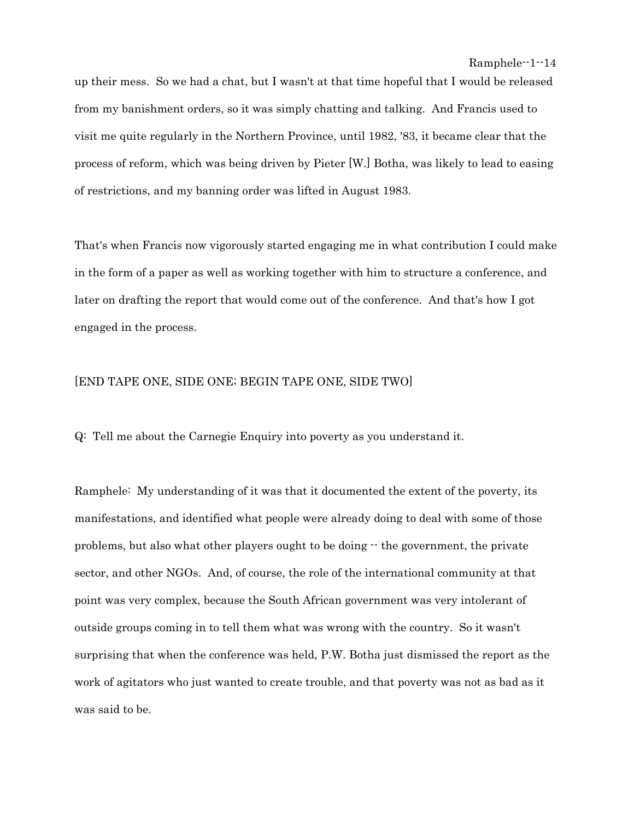up their mess. So we had a chat, but I wasn't at that time hopeful that I would be released from my banishment orders, so it was simply chatting and talking. And Francis used to visit me quite regularly in the Northern Province, until 1982, '83, it became clear that the process of reform, which was being driven by Pieter [W.] Botha, was likely to lead to easing of restrictions, and my banning order was lifted in August 1983.

That's when Francis now vigorously started engaging me in what contribution I could make in the form of a paper as well as working together with him to structure a conference, and later on drafting the report that would come out of the conference. And that's how I got engaged in the process.

## [END TAPE ONE, SIDE ONE; BEGIN TAPE ONE, SIDE TWO]

Q: Tell me about the Carnegie Enquiry into poverty as you understand it.

Ramphele: My understanding of it was that it documented the extent of the poverty, its manifestations, and identified what people were already doing to deal with some of those problems, but also what other players ought to be doing -- the government, the private sector, and other NGOs. And, of course, the role of the international community at that point was very complex, because the South African government was very intolerant of outside groups coming in to tell them what was wrong with the country. So it wasn't surprising that when the conference was held, P.W. Botha just dismissed the report as the work of agitators who just wanted to create trouble, and that poverty was not as bad as it was said to be.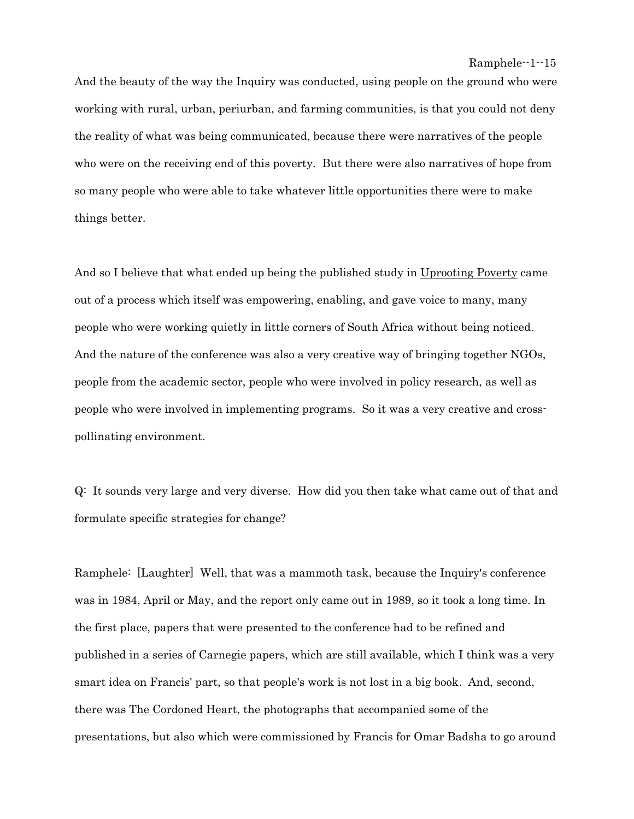```
 Ramphele--1--15
```
And the beauty of the way the Inquiry was conducted, using people on the ground who were working with rural, urban, periurban, and farming communities, is that you could not deny the reality of what was being communicated, because there were narratives of the people who were on the receiving end of this poverty. But there were also narratives of hope from so many people who were able to take whatever little opportunities there were to make things better.

And so I believe that what ended up being the published study in Uprooting Poverty came out of a process which itself was empowering, enabling, and gave voice to many, many people who were working quietly in little corners of South Africa without being noticed. And the nature of the conference was also a very creative way of bringing together NGOs, people from the academic sector, people who were involved in policy research, as well as people who were involved in implementing programs. So it was a very creative and crosspollinating environment.

Q: It sounds very large and very diverse. How did you then take what came out of that and formulate specific strategies for change?

Ramphele: [Laughter] Well, that was a mammoth task, because the Inquiry's conference was in 1984, April or May, and the report only came out in 1989, so it took a long time. In the first place, papers that were presented to the conference had to be refined and published in a series of Carnegie papers, which are still available, which I think was a very smart idea on Francis' part, so that people's work is not lost in a big book. And, second, there was The Cordoned Heart, the photographs that accompanied some of the presentations, but also which were commissioned by Francis for Omar Badsha to go around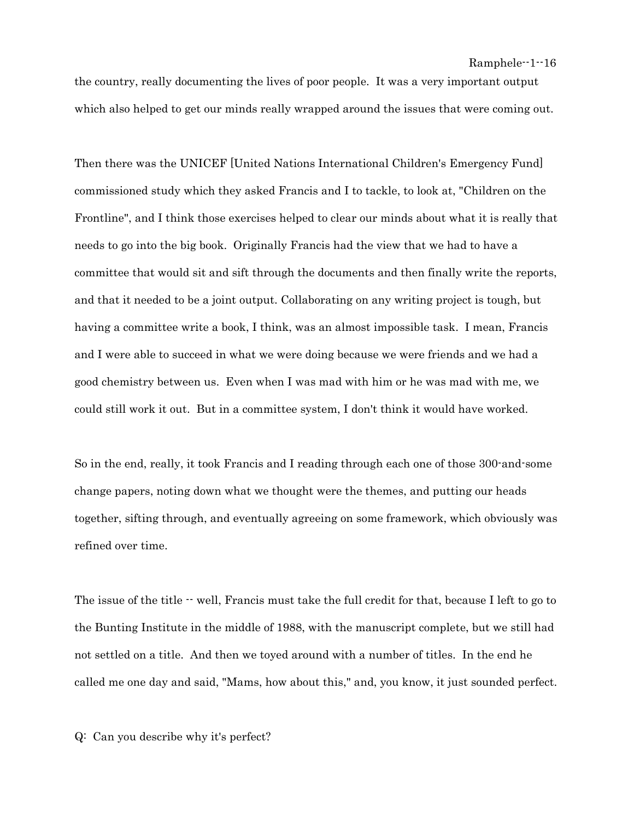the country, really documenting the lives of poor people. It was a very important output which also helped to get our minds really wrapped around the issues that were coming out.

Then there was the UNICEF [United Nations International Children's Emergency Fund] commissioned study which they asked Francis and I to tackle, to look at, "Children on the Frontline", and I think those exercises helped to clear our minds about what it is really that needs to go into the big book. Originally Francis had the view that we had to have a committee that would sit and sift through the documents and then finally write the reports, and that it needed to be a joint output. Collaborating on any writing project is tough, but having a committee write a book, I think, was an almost impossible task. I mean, Francis and I were able to succeed in what we were doing because we were friends and we had a good chemistry between us. Even when I was mad with him or he was mad with me, we could still work it out. But in a committee system, I don't think it would have worked.

So in the end, really, it took Francis and I reading through each one of those 300-and-some change papers, noting down what we thought were the themes, and putting our heads together, sifting through, and eventually agreeing on some framework, which obviously was refined over time.

The issue of the title  $\cdot$  well, Francis must take the full credit for that, because I left to go to the Bunting Institute in the middle of 1988, with the manuscript complete, but we still had not settled on a title. And then we toyed around with a number of titles. In the end he called me one day and said, "Mams, how about this," and, you know, it just sounded perfect.

Q: Can you describe why it's perfect?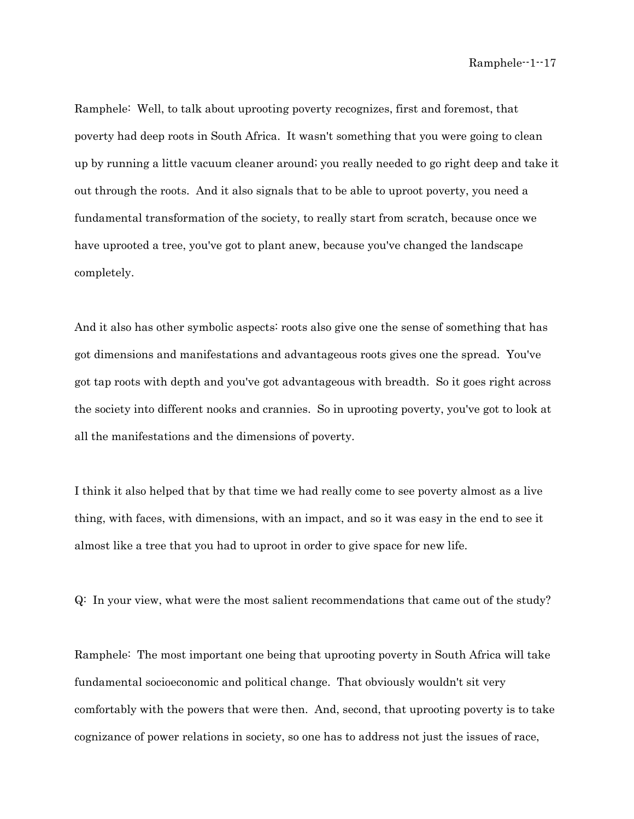Ramphele: Well, to talk about uprooting poverty recognizes, first and foremost, that poverty had deep roots in South Africa. It wasn't something that you were going to clean up by running a little vacuum cleaner around; you really needed to go right deep and take it out through the roots. And it also signals that to be able to uproot poverty, you need a fundamental transformation of the society, to really start from scratch, because once we have uprooted a tree, you've got to plant anew, because you've changed the landscape completely.

And it also has other symbolic aspects: roots also give one the sense of something that has got dimensions and manifestations and advantageous roots gives one the spread. You've got tap roots with depth and you've got advantageous with breadth. So it goes right across the society into different nooks and crannies. So in uprooting poverty, you've got to look at all the manifestations and the dimensions of poverty.

I think it also helped that by that time we had really come to see poverty almost as a live thing, with faces, with dimensions, with an impact, and so it was easy in the end to see it almost like a tree that you had to uproot in order to give space for new life.

Q: In your view, what were the most salient recommendations that came out of the study?

Ramphele: The most important one being that uprooting poverty in South Africa will take fundamental socioeconomic and political change. That obviously wouldn't sit very comfortably with the powers that were then. And, second, that uprooting poverty is to take cognizance of power relations in society, so one has to address not just the issues of race,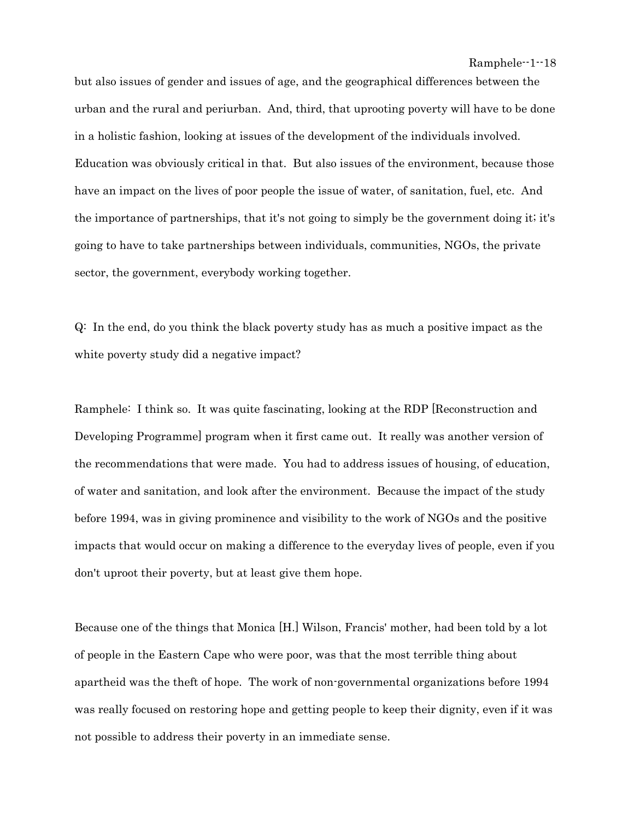but also issues of gender and issues of age, and the geographical differences between the urban and the rural and periurban. And, third, that uprooting poverty will have to be done in a holistic fashion, looking at issues of the development of the individuals involved. Education was obviously critical in that. But also issues of the environment, because those have an impact on the lives of poor people the issue of water, of sanitation, fuel, etc. And the importance of partnerships, that it's not going to simply be the government doing it; it's going to have to take partnerships between individuals, communities, NGOs, the private sector, the government, everybody working together.

Q: In the end, do you think the black poverty study has as much a positive impact as the white poverty study did a negative impact?

Ramphele: I think so. It was quite fascinating, looking at the RDP [Reconstruction and Developing Programme] program when it first came out. It really was another version of the recommendations that were made. You had to address issues of housing, of education, of water and sanitation, and look after the environment. Because the impact of the study before 1994, was in giving prominence and visibility to the work of NGOs and the positive impacts that would occur on making a difference to the everyday lives of people, even if you don't uproot their poverty, but at least give them hope.

Because one of the things that Monica [H.] Wilson, Francis' mother, had been told by a lot of people in the Eastern Cape who were poor, was that the most terrible thing about apartheid was the theft of hope. The work of non-governmental organizations before 1994 was really focused on restoring hope and getting people to keep their dignity, even if it was not possible to address their poverty in an immediate sense.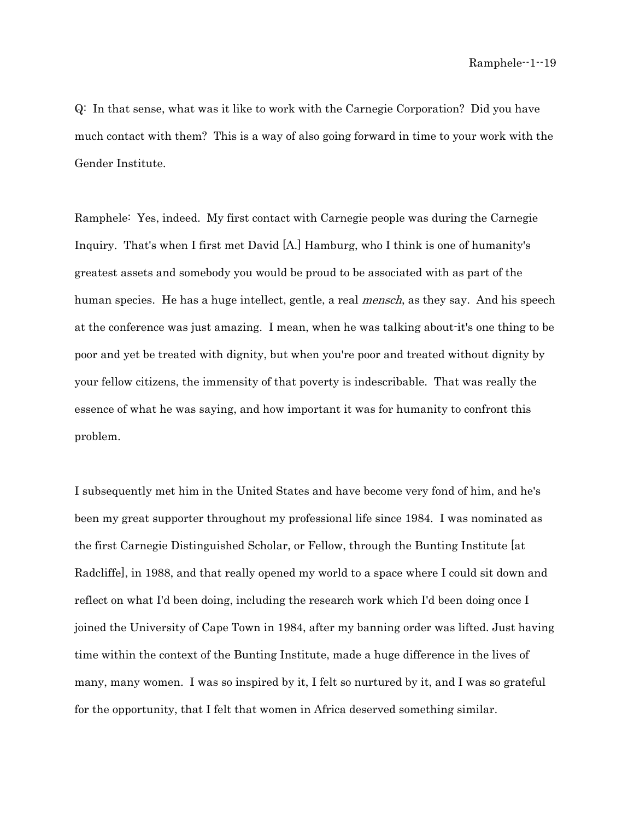Q: In that sense, what was it like to work with the Carnegie Corporation? Did you have much contact with them? This is a way of also going forward in time to your work with the Gender Institute.

Ramphele: Yes, indeed. My first contact with Carnegie people was during the Carnegie Inquiry. That's when I first met David [A.] Hamburg, who I think is one of humanity's greatest assets and somebody you would be proud to be associated with as part of the human species. He has a huge intellect, gentle, a real *mensch*, as they say. And his speech at the conference was just amazing. I mean, when he was talking about-it's one thing to be poor and yet be treated with dignity, but when you're poor and treated without dignity by your fellow citizens, the immensity of that poverty is indescribable. That was really the essence of what he was saying, and how important it was for humanity to confront this problem.

I subsequently met him in the United States and have become very fond of him, and he's been my great supporter throughout my professional life since 1984. I was nominated as the first Carnegie Distinguished Scholar, or Fellow, through the Bunting Institute [at Radcliffe], in 1988, and that really opened my world to a space where I could sit down and reflect on what I'd been doing, including the research work which I'd been doing once I joined the University of Cape Town in 1984, after my banning order was lifted. Just having time within the context of the Bunting Institute, made a huge difference in the lives of many, many women. I was so inspired by it, I felt so nurtured by it, and I was so grateful for the opportunity, that I felt that women in Africa deserved something similar.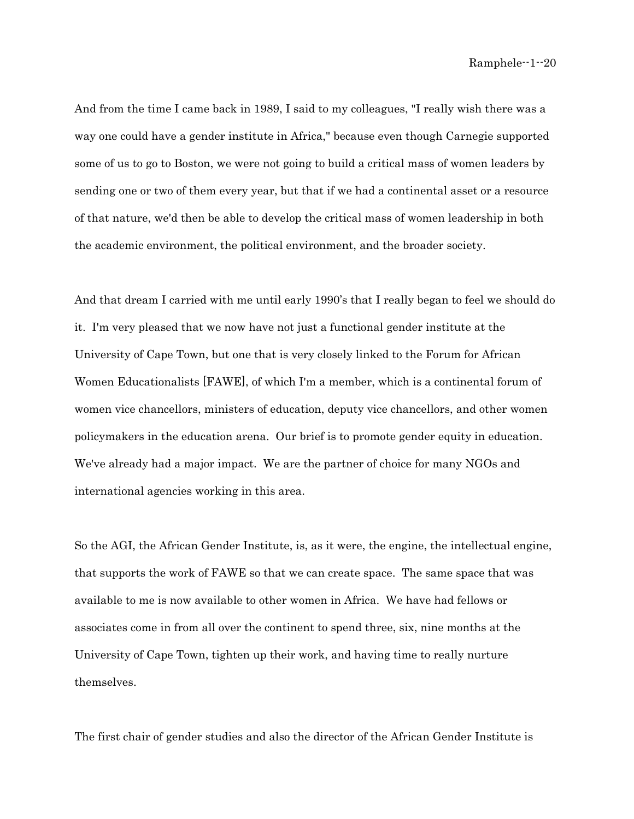And from the time I came back in 1989, I said to my colleagues, "I really wish there was a way one could have a gender institute in Africa," because even though Carnegie supported some of us to go to Boston, we were not going to build a critical mass of women leaders by sending one or two of them every year, but that if we had a continental asset or a resource of that nature, we'd then be able to develop the critical mass of women leadership in both the academic environment, the political environment, and the broader society.

And that dream I carried with me until early 1990's that I really began to feel we should do it. I'm very pleased that we now have not just a functional gender institute at the University of Cape Town, but one that is very closely linked to the Forum for African Women Educationalists [FAWE], of which I'm a member, which is a continental forum of women vice chancellors, ministers of education, deputy vice chancellors, and other women policymakers in the education arena. Our brief is to promote gender equity in education. We've already had a major impact. We are the partner of choice for many NGOs and international agencies working in this area.

So the AGI, the African Gender Institute, is, as it were, the engine, the intellectual engine, that supports the work of FAWE so that we can create space. The same space that was available to me is now available to other women in Africa. We have had fellows or associates come in from all over the continent to spend three, six, nine months at the University of Cape Town, tighten up their work, and having time to really nurture themselves.

The first chair of gender studies and also the director of the African Gender Institute is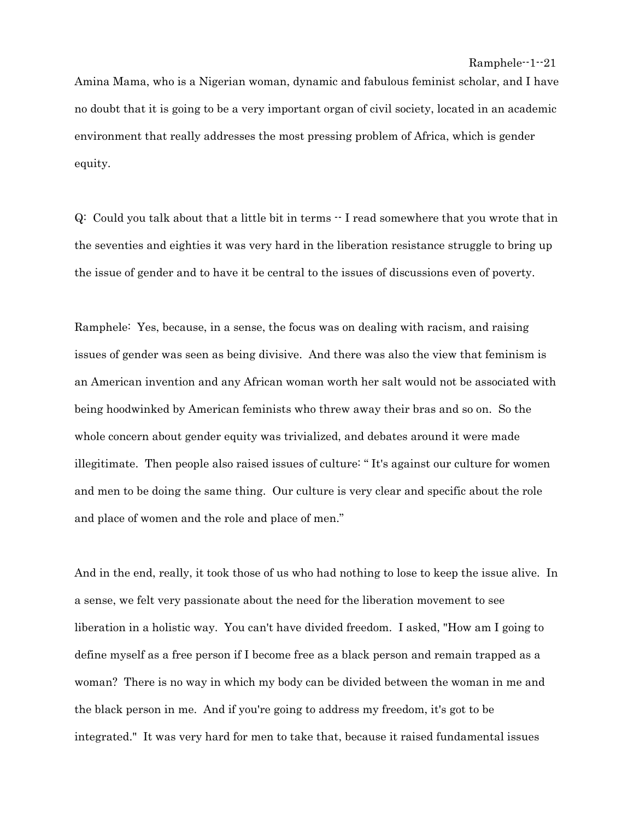```
 Ramphele--1--21
```
Amina Mama, who is a Nigerian woman, dynamic and fabulous feminist scholar, and I have no doubt that it is going to be a very important organ of civil society, located in an academic environment that really addresses the most pressing problem of Africa, which is gender equity.

Q: Could you talk about that a little bit in terms -- I read somewhere that you wrote that in the seventies and eighties it was very hard in the liberation resistance struggle to bring up the issue of gender and to have it be central to the issues of discussions even of poverty.

Ramphele: Yes, because, in a sense, the focus was on dealing with racism, and raising issues of gender was seen as being divisive. And there was also the view that feminism is an American invention and any African woman worth her salt would not be associated with being hoodwinked by American feminists who threw away their bras and so on. So the whole concern about gender equity was trivialized, and debates around it were made illegitimate. Then people also raised issues of culture: " It's against our culture for women and men to be doing the same thing. Our culture is very clear and specific about the role and place of women and the role and place of men."

And in the end, really, it took those of us who had nothing to lose to keep the issue alive. In a sense, we felt very passionate about the need for the liberation movement to see liberation in a holistic way. You can't have divided freedom. I asked, "How am I going to define myself as a free person if I become free as a black person and remain trapped as a woman? There is no way in which my body can be divided between the woman in me and the black person in me. And if you're going to address my freedom, it's got to be integrated." It was very hard for men to take that, because it raised fundamental issues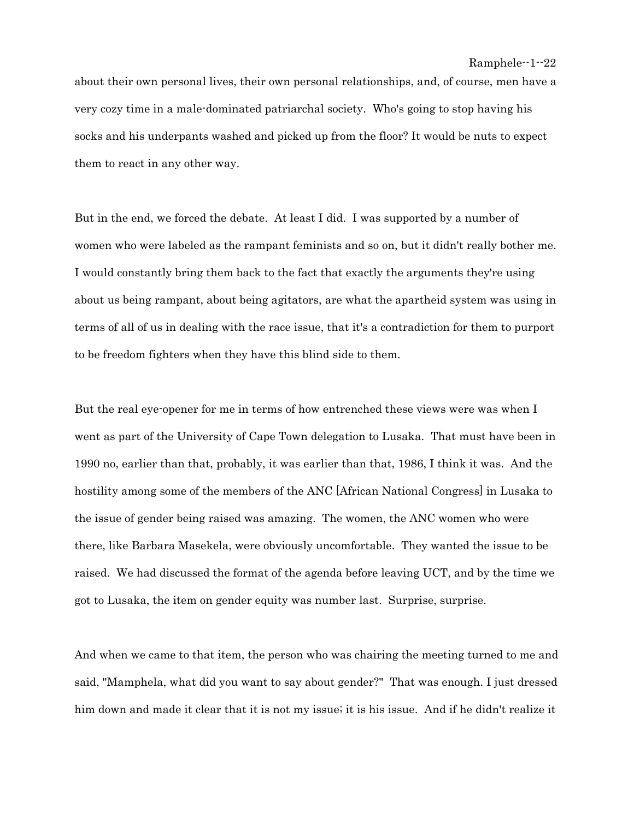about their own personal lives, their own personal relationships, and, of course, men have a very cozy time in a male-dominated patriarchal society. Who's going to stop having his socks and his underpants washed and picked up from the floor? It would be nuts to expect them to react in any other way.

But in the end, we forced the debate. At least I did. I was supported by a number of women who were labeled as the rampant feminists and so on, but it didn't really bother me. I would constantly bring them back to the fact that exactly the arguments they're using about us being rampant, about being agitators, are what the apartheid system was using in terms of all of us in dealing with the race issue, that it's a contradiction for them to purport to be freedom fighters when they have this blind side to them.

But the real eye-opener for me in terms of how entrenched these views were was when I went as part of the University of Cape Town delegation to Lusaka. That must have been in 1990 no, earlier than that, probably, it was earlier than that, 1986, I think it was. And the hostility among some of the members of the ANC [African National Congress] in Lusaka to the issue of gender being raised was amazing. The women, the ANC women who were there, like Barbara Masekela, were obviously uncomfortable. They wanted the issue to be raised. We had discussed the format of the agenda before leaving UCT, and by the time we got to Lusaka, the item on gender equity was number last. Surprise, surprise.

And when we came to that item, the person who was chairing the meeting turned to me and said, "Mamphela, what did you want to say about gender?" That was enough. I just dressed him down and made it clear that it is not my issue; it is his issue. And if he didn't realize it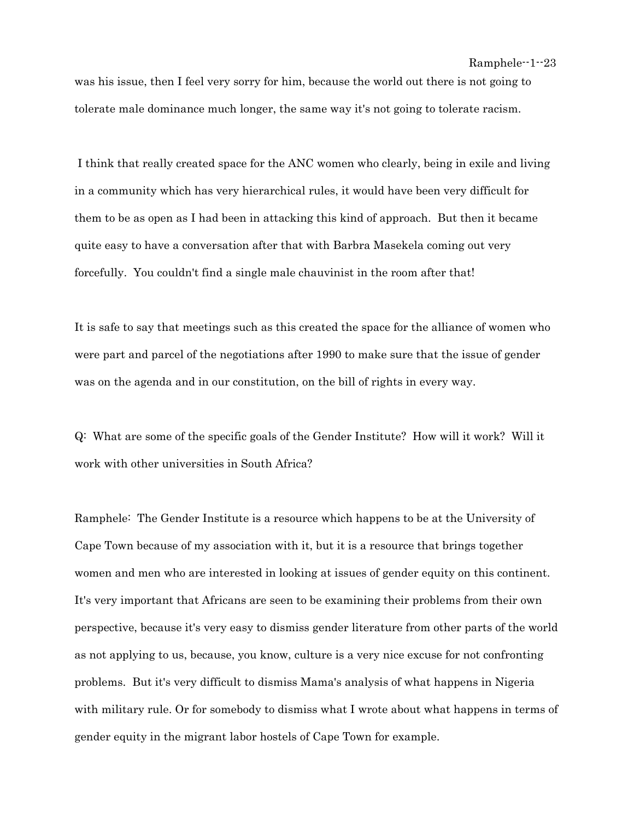was his issue, then I feel very sorry for him, because the world out there is not going to tolerate male dominance much longer, the same way it's not going to tolerate racism.

 I think that really created space for the ANC women who clearly, being in exile and living in a community which has very hierarchical rules, it would have been very difficult for them to be as open as I had been in attacking this kind of approach. But then it became quite easy to have a conversation after that with Barbra Masekela coming out very forcefully. You couldn't find a single male chauvinist in the room after that!

It is safe to say that meetings such as this created the space for the alliance of women who were part and parcel of the negotiations after 1990 to make sure that the issue of gender was on the agenda and in our constitution, on the bill of rights in every way.

Q: What are some of the specific goals of the Gender Institute? How will it work? Will it work with other universities in South Africa?

Ramphele: The Gender Institute is a resource which happens to be at the University of Cape Town because of my association with it, but it is a resource that brings together women and men who are interested in looking at issues of gender equity on this continent. It's very important that Africans are seen to be examining their problems from their own perspective, because it's very easy to dismiss gender literature from other parts of the world as not applying to us, because, you know, culture is a very nice excuse for not confronting problems. But it's very difficult to dismiss Mama's analysis of what happens in Nigeria with military rule. Or for somebody to dismiss what I wrote about what happens in terms of gender equity in the migrant labor hostels of Cape Town for example.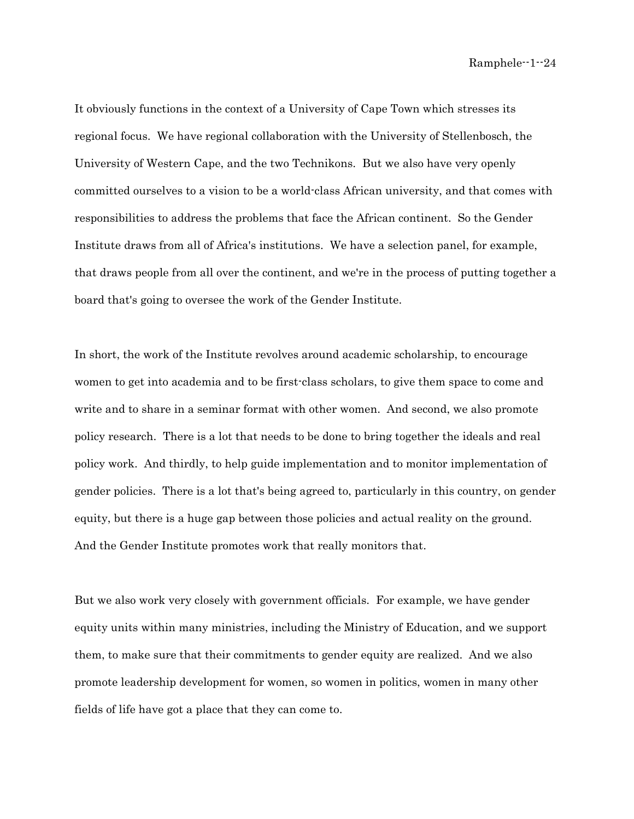It obviously functions in the context of a University of Cape Town which stresses its regional focus. We have regional collaboration with the University of Stellenbosch, the University of Western Cape, and the two Technikons. But we also have very openly committed ourselves to a vision to be a world-class African university, and that comes with responsibilities to address the problems that face the African continent. So the Gender Institute draws from all of Africa's institutions. We have a selection panel, for example, that draws people from all over the continent, and we're in the process of putting together a board that's going to oversee the work of the Gender Institute.

In short, the work of the Institute revolves around academic scholarship, to encourage women to get into academia and to be first-class scholars, to give them space to come and write and to share in a seminar format with other women. And second, we also promote policy research. There is a lot that needs to be done to bring together the ideals and real policy work. And thirdly, to help guide implementation and to monitor implementation of gender policies. There is a lot that's being agreed to, particularly in this country, on gender equity, but there is a huge gap between those policies and actual reality on the ground. And the Gender Institute promotes work that really monitors that.

But we also work very closely with government officials. For example, we have gender equity units within many ministries, including the Ministry of Education, and we support them, to make sure that their commitments to gender equity are realized. And we also promote leadership development for women, so women in politics, women in many other fields of life have got a place that they can come to.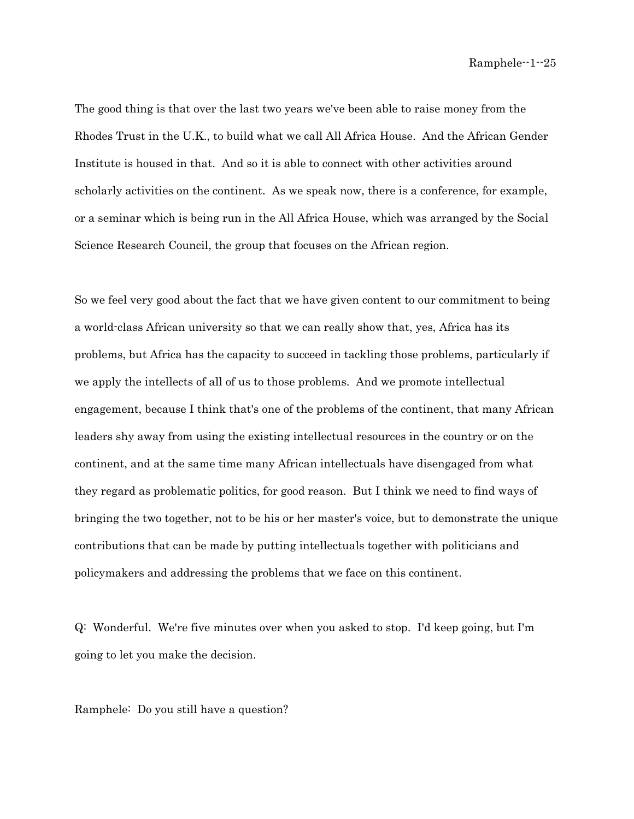The good thing is that over the last two years we've been able to raise money from the Rhodes Trust in the U.K., to build what we call All Africa House. And the African Gender Institute is housed in that. And so it is able to connect with other activities around scholarly activities on the continent. As we speak now, there is a conference, for example, or a seminar which is being run in the All Africa House, which was arranged by the Social Science Research Council, the group that focuses on the African region.

So we feel very good about the fact that we have given content to our commitment to being a world-class African university so that we can really show that, yes, Africa has its problems, but Africa has the capacity to succeed in tackling those problems, particularly if we apply the intellects of all of us to those problems. And we promote intellectual engagement, because I think that's one of the problems of the continent, that many African leaders shy away from using the existing intellectual resources in the country or on the continent, and at the same time many African intellectuals have disengaged from what they regard as problematic politics, for good reason. But I think we need to find ways of bringing the two together, not to be his or her master's voice, but to demonstrate the unique contributions that can be made by putting intellectuals together with politicians and policymakers and addressing the problems that we face on this continent.

Q: Wonderful. We're five minutes over when you asked to stop. I'd keep going, but I'm going to let you make the decision.

Ramphele: Do you still have a question?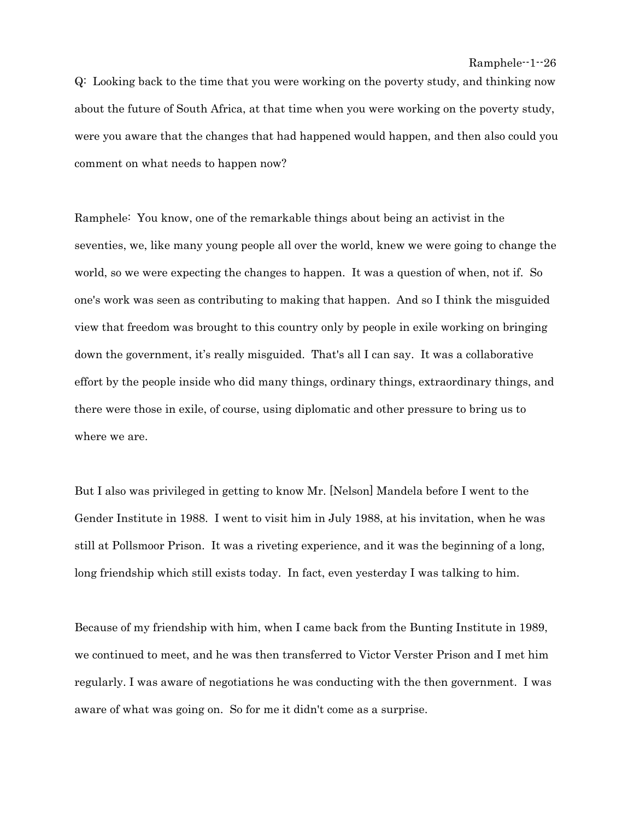Q: Looking back to the time that you were working on the poverty study, and thinking now about the future of South Africa, at that time when you were working on the poverty study, were you aware that the changes that had happened would happen, and then also could you comment on what needs to happen now?

Ramphele: You know, one of the remarkable things about being an activist in the seventies, we, like many young people all over the world, knew we were going to change the world, so we were expecting the changes to happen. It was a question of when, not if. So one's work was seen as contributing to making that happen. And so I think the misguided view that freedom was brought to this country only by people in exile working on bringing down the government, it's really misguided. That's all I can say. It was a collaborative effort by the people inside who did many things, ordinary things, extraordinary things, and there were those in exile, of course, using diplomatic and other pressure to bring us to where we are.

But I also was privileged in getting to know Mr. [Nelson] Mandela before I went to the Gender Institute in 1988. I went to visit him in July 1988, at his invitation, when he was still at Pollsmoor Prison. It was a riveting experience, and it was the beginning of a long, long friendship which still exists today. In fact, even yesterday I was talking to him.

Because of my friendship with him, when I came back from the Bunting Institute in 1989, we continued to meet, and he was then transferred to Victor Verster Prison and I met him regularly. I was aware of negotiations he was conducting with the then government. I was aware of what was going on. So for me it didn't come as a surprise.